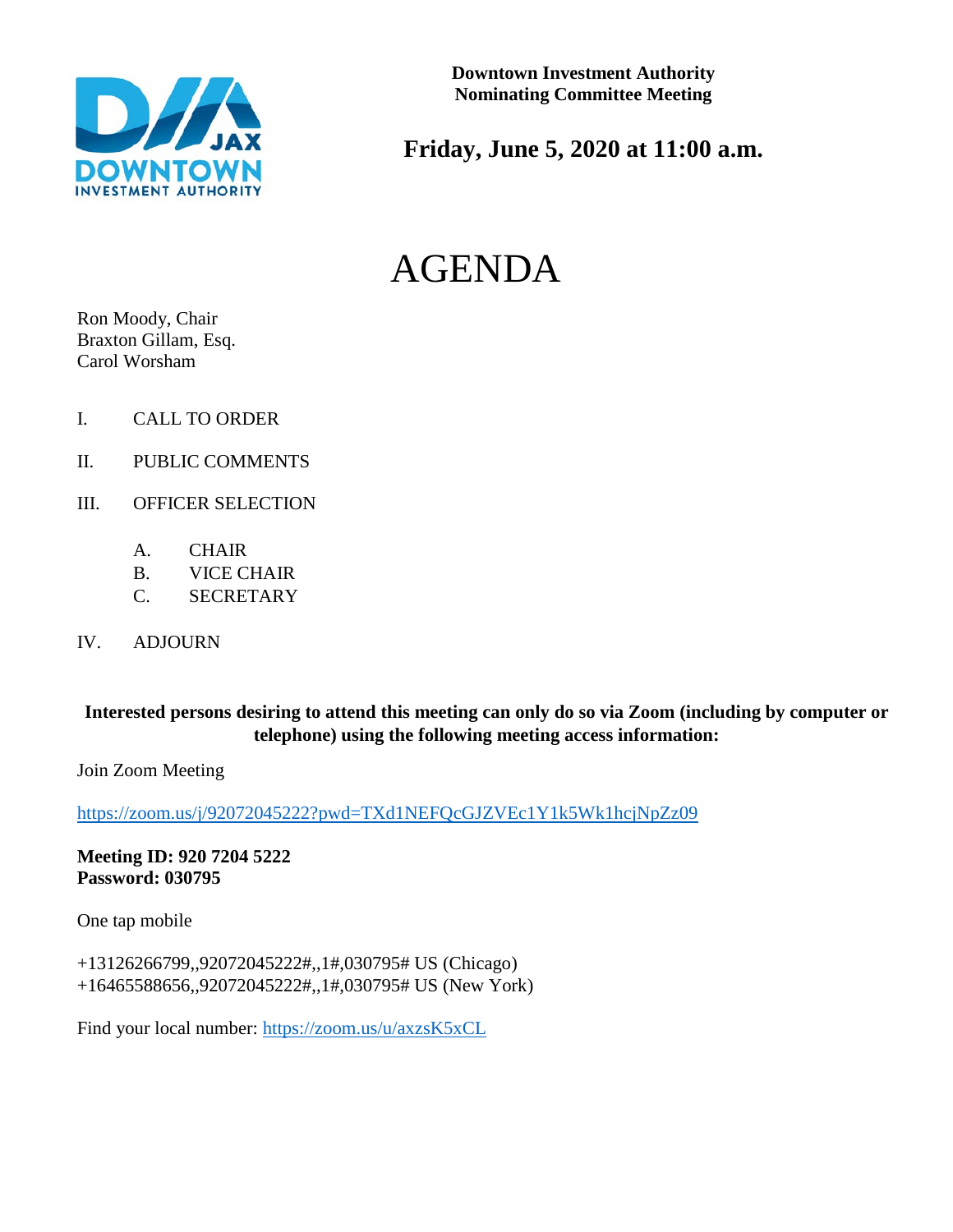

# **Friday, June 5, 2020 at 11:00 a.m.**

# AGENDA

Ron Moody, Chair Braxton Gillam, Esq. Carol Worsham

- I. CALL TO ORDER
- II. PUBLIC COMMENTS
- III. OFFICER SELECTION
	- A. CHAIR
	- B. VICE CHAIR
	- C. SECRETARY
- IV. ADJOURN

#### **Interested persons desiring to attend this meeting can only do so via Zoom (including by computer or telephone) using the following meeting access information:**

Join Zoom Meeting

<https://zoom.us/j/92072045222?pwd=TXd1NEFQcGJZVEc1Y1k5Wk1hcjNpZz09>

#### **Meeting ID: 920 7204 5222 Password: 030795**

One tap mobile

+13126266799,,92072045222#,,1#,030795# US (Chicago) +16465588656,,92072045222#,,1#,030795# US (New York)

Find your local number:<https://zoom.us/u/axzsK5xCL>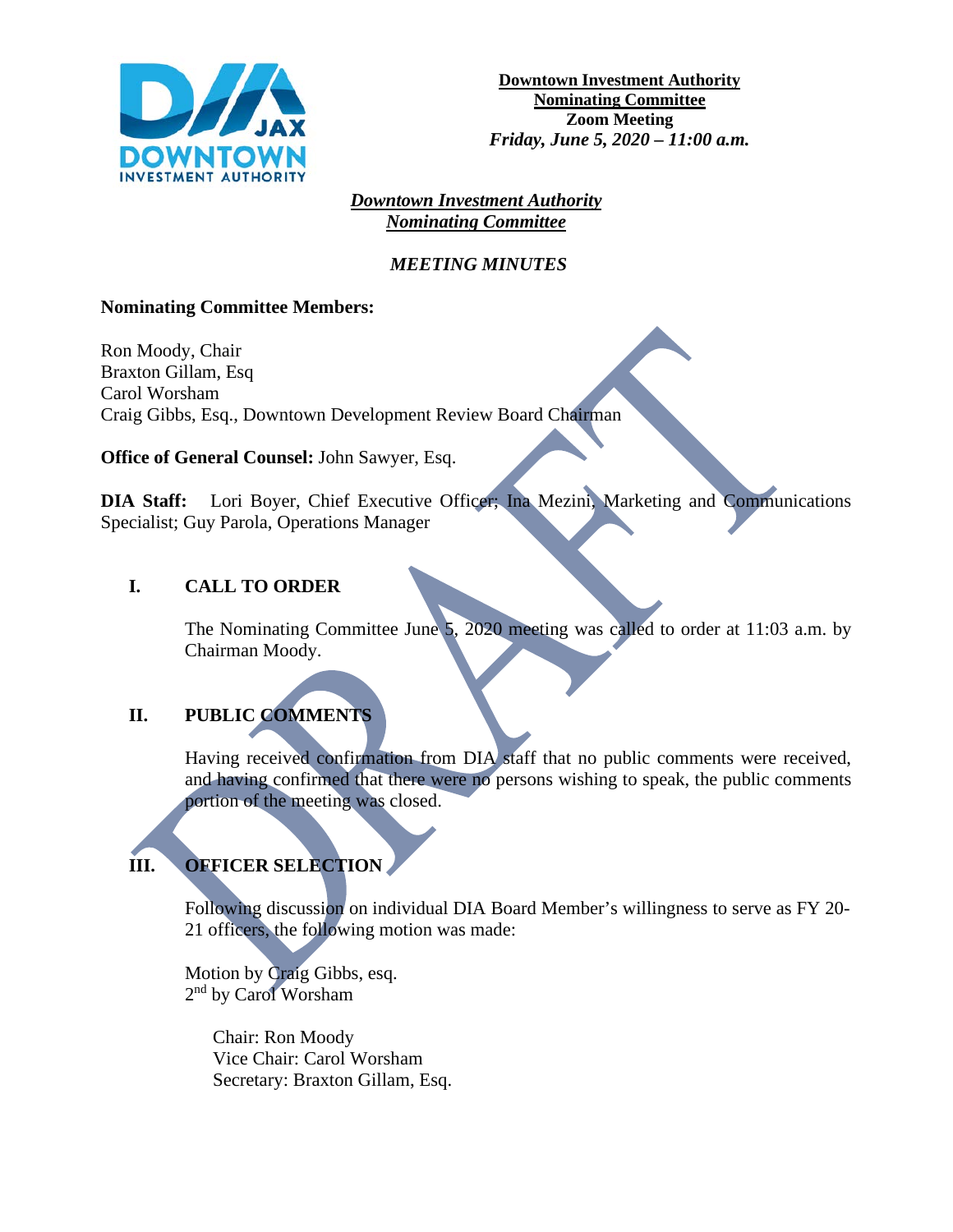

#### *Downtown Investment Authority Nominating Committee*

#### *MEETING MINUTES*

#### **Nominating Committee Members:**

Ron Moody, Chair Braxton Gillam, Esq Carol Worsham Craig Gibbs, Esq., Downtown Development Review Board Chairman

**Office of General Counsel:** John Sawyer, Esq.

**DIA Staff:** Lori Boyer, Chief Executive Officer; Ina Mezini, Marketing and Communications Specialist; Guy Parola, Operations Manager

#### **I. CALL TO ORDER**

The Nominating Committee June 5, 2020 meeting was called to order at 11:03 a.m. by Chairman Moody.

## **II. PUBLIC COMMENTS**

Having received confirmation from DIA staff that no public comments were received, and having confirmed that there were no persons wishing to speak, the public comments portion of the meeting was closed.

# **III. OFFICER SELECTION**

Following discussion on individual DIA Board Member's willingness to serve as FY 20- 21 officers, the following motion was made:

Motion by Craig Gibbs, esq. 2nd by Carol Worsham

> Chair: Ron Moody Vice Chair: Carol Worsham Secretary: Braxton Gillam, Esq.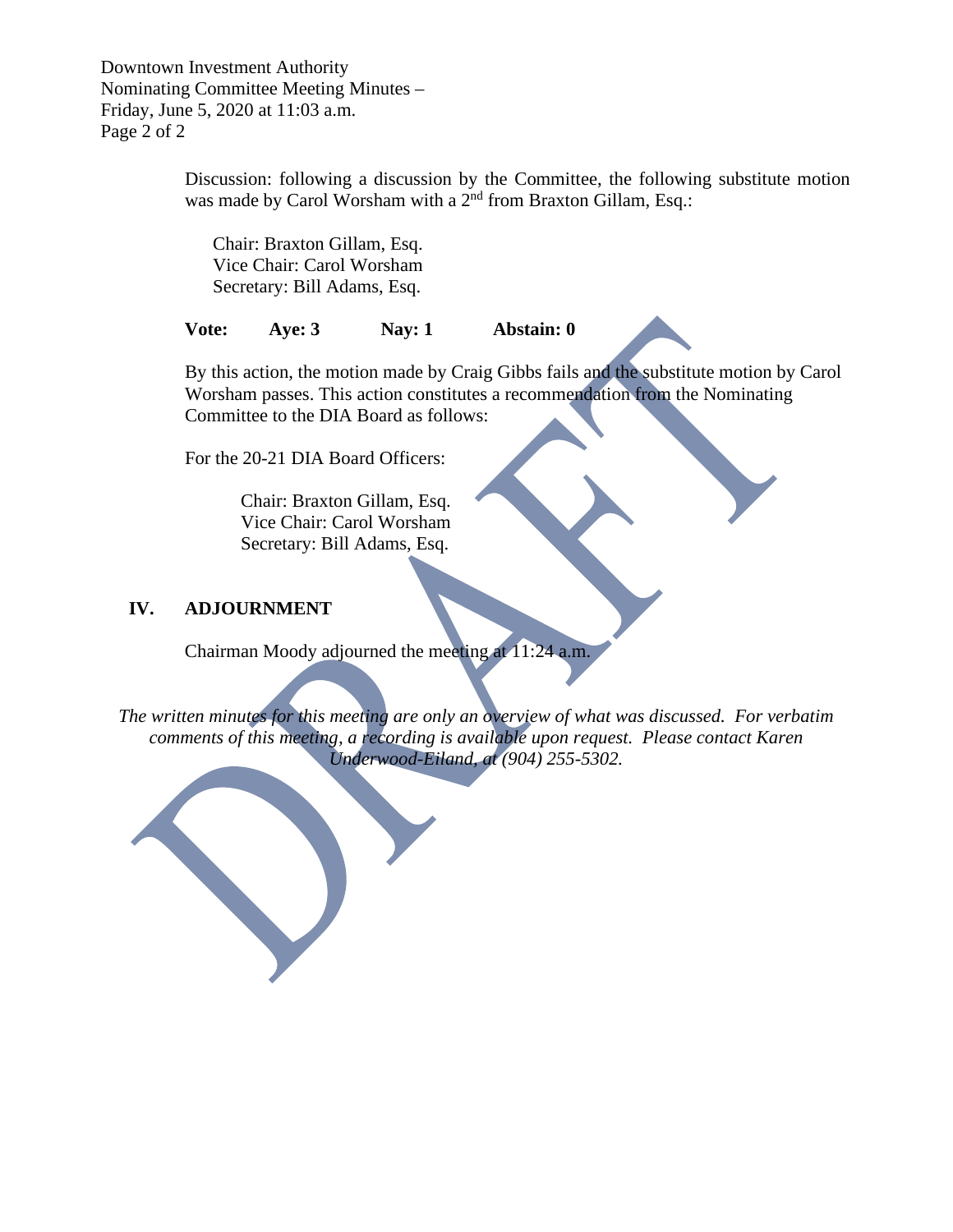Downtown Investment Authority Nominating Committee Meeting Minutes – Friday, June 5, 2020 at 11:03 a.m. Page 2 of 2

> Discussion: following a discussion by the Committee, the following substitute motion was made by Carol Worsham with a  $2^{nd}$  from Braxton Gillam, Esq.:

Chair: Braxton Gillam, Esq. Vice Chair: Carol Worsham Secretary: Bill Adams, Esq.

**Vote: Aye: 3 Nay: 1 Abstain: 0**

By this action, the motion made by Craig Gibbs fails and the substitute motion by Carol Worsham passes. This action constitutes a recommendation from the Nominating Committee to the DIA Board as follows:

For the 20-21 DIA Board Officers:

Chair: Braxton Gillam, Esq. Vice Chair: Carol Worsham Secretary: Bill Adams, Esq.

#### **IV. ADJOURNMENT**

Chairman Moody adjourned the meeting at 11:24 a.m.

*The written minutes for this meeting are only an overview of what was discussed. For verbatim comments of this meeting, a recording is available upon request. Please contact Karen Underwood-Eiland, at (904) 255-5302.*